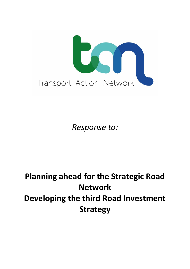

*Response to:*

# **Planning ahead for the Strategic Road Network Developing the third Road Investment Strategy**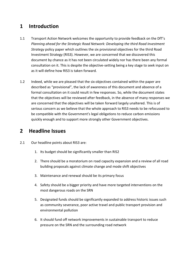## **1 Introduction**

- 1.1 Transport Action Network welcomes the opportunity to provide feedback on the DfT's *Planning ahead for the Strategic Road Network: Developing the third Road Investment Strategy* policy paper which outlines the six provisional objectives for the third Road Investment Strategy (RIS3). However, we are concerned that we discovered this document by chance as it has not been circulated widely nor has there been any formal consultation on it. This is despite the objective-setting being a key stage to seek input on as it will define how RIS3 is taken forward.
- 1.2 Indeed, while we are pleased that the six objectives contained within the paper are described as "provisional", the lack of awareness of this document and absence of a formal consultation on it could result in few responses. So, while the document states that the objectives will be reviewed after feedback, in the absence of many responses we are concerned that the objectives will be taken forward largely unaltered. This is of serious concern as we believe that the whole approach to RIS3 needs to be refocussed to be compatible with the Government's legal obligations to reduce carbon emissions quickly enough and to support more strongly other Government objectives.

### **2 Headline Issues**

- 2.1 Our headline points about RIS3 are:
	- 1. Its budget should be significantly smaller than RIS2
	- 2. There should be a moratorium on road capacity expansion and a review of all road building proposals against climate change and mode shift objectives
	- 3. Maintenance and renewal should be its primary focus
	- 4. Safety should be a bigger priority and have more targeted interventions on the most dangerous roads on the SRN
	- 5. Designated funds should be significantly expanded to address historic issues such as community severance, poor active travel and public transport provision and environmental pollution
	- 6. It should fund off network improvements in sustainable transport to reduce pressure on the SRN and the surrounding road network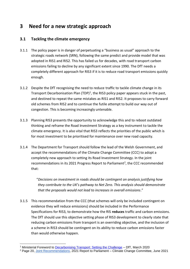## **3 Need for a new strategic approach**

#### **3.1 Tackling the climate emergency**

- 3.1.1 The policy paper is in danger of perpetuating a "business as usual" approach to the strategic roads network (SRN), following the same predict and provide model that was adopted in RIS1 and RIS2. This has failed us for decades, with road transport carbon emissions failing to decline by any significant extent since 1990. The DfT needs a completely different approach for RIS3 if it is to reduce road transport emissions quickly enough.
- 3.1.2 Despite the DfT recognising the need to reduce traffic to tackle climate change in its Transport Decarbonisation Plan (TDP)<sup>1</sup>, the RIS3 policy paper appears stuck in the past, and destined to repeat the same mistakes as RIS1 and RIS2. It proposes to carry forward old schemes from RIS2 and to continue the futile attempt to build our way out of congestion. This is becoming increasingly untenable.
- 3.1.3 Planning RIS3 presents the opportunity to acknowledge this and to reboot outdated thinking and reframe the Road Investment Strategy as a key instrument to tackle the climate emergency. It is also vital that RIS3 reflects the priorities of the public which is for most investment to be prioritised for maintenance over new road capacity.
- 3.1.4 The Department for Transport should follow the lead of the Welsh Government, and accept the recommendations of the Climate Change Committee (CCC) to adopt a completely new approach to setting its Road Investment Strategy. In the joint recommendations in its 2021 Progress Report to Parliament<sup>2</sup>, the CCC recommended that:

"*Decisions on investment in roads should be contingent on analysis justifying how they contribute to the UK's pathway to Net Zero. This analysis should demonstrate that the proposals would not lead to increases in overall emissions*."

3.1.5 This recommendation from the CCC (that schemes will only be included contingent on evidence they will reduce emissions) should be included in the Performance Specifications for RIS3, to demonstrate how the RIS **reduces** traffic and carbon emissions. The DfT should use this objective setting phase of RIS3 development to clearly state that reducing carbon emissions from transport is an overriding objective, and the inclusion of a scheme in RIS3 should be contingent on its ability to reduce carbon emissions faster than would otherwise happen.

<sup>&</sup>lt;sup>1</sup> Ministerial Foreword to **Decarbonising Transport: Setting the Challenge – DfT**, March 2020

<sup>&</sup>lt;sup>2</sup> Page 20, [Joint Recommendations,](https://www.theccc.org.uk/wp-content/uploads/2021/06/CCC-Joint-Recommendations-2021-Report-to-Parliament.pdf) 2021 Report to Parliament – Climate Change Committee, June 2021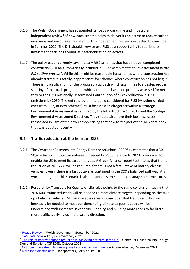- 3.1.6 The Welsh Government has suspended its roads programme and initiated an independent review<sup>3</sup> of how each scheme helps to deliver its objective to reduce carbon emissions and encourage modal shift. This independent review is expected to conclude in Summer 2022. The DfT should likewise use RIS3 as an opportunity to reorient its investment decisions around its decarbonisation objectives.
- 3.1.7 The policy paper currently says that any RIS2 schemes that have not yet completed construction will be automatically included in RIS3 "*without additional assessment in the RIS-setting process*". While this might be reasonable for schemes where construction has already started it is totally inappropriate for schemes where construction has not begun. There is no justification for the proposed approach which again tries to sidestep proper scrutiny of the roads programme, which at no time has been properly assessed for netzero or the UK's Nationally Determined Contribution of a 68% reduction in 1990 emissions by 2030. The entire programme being considered for RIS3 (whether carried over from RIS2, or new schemes) must be assessed altogether within a Strategic Environmental Assessment as required by the Infrastructure Act 2015 and the Strategic Environmental Assessment Directive. They should also have their business cases reassessed in light of the new carbon pricing that now forms part of the TAG data book that was updated recently<sup>4</sup>.

#### **3.2 Traffic reduction at the heart of RIS3**

- 3.2.1 The Centre for Research into Energy Demand Solutions (CREDS)<sup>5</sup>, estimates that a 30-50% reduction in total car mileage is needed by 2030, relative to 2020, is required to enable the UK to meet its carbon targets. A Green Alliance report<sup>6</sup> estimates that traffic reduction of 20 – 27% will be required if there is not a fast uptake of battery electric vehicles. Even if there is a fast uptake as contained in the CCC's balanced pathway, it is worth noting that this scenario is also reliant on some demand management measures.
- 3.2.2 Research by Transport for Quality of Life<sup>7</sup> also points to the same conclusion, saying that 20%-60% traffic reduction will be needed to meet climate targets, depending on the take up of electric vehicles. All the available research concludes that traffic reduction will inevitably be needed to meet our demanding climate targets, but this will be undermined with increases in capacity. Planning and building more roads to facilitate more traffic is driving us in the wrong direction.

<sup>6</sup> [Not going the extra mile: driving less to tackle climate change](https://green-alliance.org.uk/resources/Not_going_the_extra_mile.pdf) – Green Alliance, December 2021

<sup>&</sup>lt;sup>3</sup> [Roads Review](https://gov.wales/roads-review) - Welsh Government, September 2021

<sup>&</sup>lt;sup>4</sup> [TAG data book](https://www.gov.uk/government/publications/tag-data-book) – DfT, 29 November, 2021

<sup>&</sup>lt;sup>5</sup> [The role of energy demand reduction in achieving net-zero in the UK](https://www.creds.ac.uk/the-role-of-energy-demand-reduction-in-achieving-net-zero-in-the-uk/) - Centre for Research into Energy Demand Solutions (CREDS), October 2021

<sup>&</sup>lt;sup>7</sup> [More than electric cars,](http://www.transportforqualityoflife.com/u/files/1%20More%20than%20electric%20cars%20briefing.pdf) Transport for Quality of Life, 2018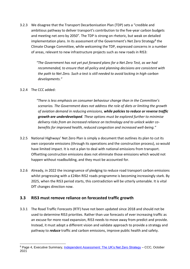3.2.3 We disagree that the Transport Decarbonisation Plan (TDP) sets a "credible and ambitious pathway to deliver transport's contribution to the five-year carbon budgets and meeting net zero by 2050". The TDP is strong on rhetoric, but weak on detailed implementation plans. In its assessment of the Government's Net Zero Strategy<sup>8</sup> the Climate Change Committee, while welcoming the TDP, expressed concerns in a number of areas, relevant to new infrastructure projects such as new roads in RIS3:

> *"The Government has not yet put forward plans for a Net Zero Test, as we had recommended, to ensure that all policy and planning decisions are consistent with the path to Net Zero. Such a test is still needed to avoid locking in high-carbon developments."*

#### 3.2.4 The CCC added:

*"There is less emphasis on consumer behaviour change than in the Committee's scenarios. The Government does not address the role of diets or limiting the growth of aviation demand in reducing emissions, while policies to reduce or reverse traffic growth are underdeveloped. These options must be explored further to minimise delivery risks from an increased reliance on technology and to unlock wider cobenefits for improved health, reduced congestion and increased well-being."*

- 3.2.5 National Highways' Net Zero Plan is simply a document that outlines its plan to cut its own corporate emissions (through its operations and the construction process), so would have limited impact. It is not a plan to deal with national emissions from transport. Offsetting construction emissions does not eliminate those emissions which would not happen without roadbuilding, and they must be accounted for.
- 3.2.6 Already, in 2022 the incongruence of pledging to reduce road transport carbon emissions whilst progressing with a £24bn RIS2 roads programme is becoming increasingly stark. By 2025, when the RIS3 period starts, this contradiction will be utterly untenable. It is vital DfT changes direction now.

#### **3.3 RIS3 must remove reliance on forecasted traffic growth**

3.3.1 The Road Traffic Forecasts (RTF) have not been updated since 2018 and should not be used to determine RIS3 priorities. Rather than use forecasts of ever increasing traffic as an excuse for more road expansion, RIS3 needs to move away from predict and provide. Instead, it must adopt a different vision and validate approach to provide a strategy and pathway to *reduce* traffic and carbon emissions, improve public health and safety.

<sup>&</sup>lt;sup>8</sup> Page 4, Executive Summary, [Independent Assessment: The](https://www.theccc.org.uk/publication/independent-assessment-the-uks-net-zero-strategy/) UK's Net Zero Strategy – CCC, October 2021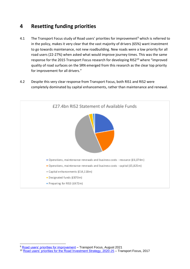## **4 Resetting funding priorities**

- 4.1 The Transport Focus study of Road users' priorities for improvement<sup>9</sup> which is referred to in the policy, makes it very clear that the vast majority of drivers (65%) want investment to go towards maintenance, not new roadbuilding. New roads were a low priority for all road users (22-27%) when asked what would improve journey times. This was the same response for the 2015 Transport Focus research for developing RIS2<sup>10</sup> where "improved quality of road surfaces on the SRN emerged from this research as the clear top priority for improvement for all drivers."
- 4.2 Despite this very clear response from Transport Focus, both RIS1 and RIS2 were completely dominated by capital enhancements, rather than maintenance and renewal.



<sup>&</sup>lt;sup>9</sup> [Road users' priorities for improvement](https://www.transportfocus.org.uk/publication/road-users-priorities-for-improvement/) – Transport Focus, August 2021

<sup>&</sup>lt;sup>10</sup> [Road users' priorities for the Road Investment Strategy, 2020-25](https://d3cez36w5wymxj.cloudfront.net/wp-content/uploads/2017/06/28081709/Road-users%E2%80%99-priorities-for-the-Road-Investment-Strategy-2020-25-FINAL.pdf) - Transport Focus, 2017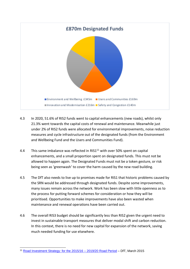

- 4.3 In 2020, 51.6% of RIS2 funds went to capital enhancements (new roads), whilst only 21.3% went towards the capital costs of renewal and maintenance. Meanwhile just under 2% of RIS2 funds were allocated for environmental improvements, noise reduction measures and cycle infrastructure out of the designated funds (from the Environment and Wellbeing Fund and the Users and Communities Fund).
- 4.4 This same imbalance was reflected in RIS1<sup>11</sup> with over 50% spent on capital enhancements, and a small proportion spent on designated funds. This must not be allowed to happen again. The Designated Funds must not be a token gesture, or risk being seen as 'greenwash' to cover the harm caused by the new road building.
- 4.5 The DfT also needs to live up to promises made for RIS1 that historic problems caused by the SRN would be addressed through designated funds. Despite some improvements, many issues remain across the network. Work has been slow with little openness as to the process for putting forward schemes for consideration or how they will be prioritised. Opportunities to make improvements have also been wasted when maintenance and renewal operations have been carried out.
- 4.6 The overall RIS3 budget should be significantly less than RIS2 given the urgent need to invest in sustainable transport measures that deliver modal shift and carbon reduction. In this context, there is no need for new capital for expansion of the network, saving much needed funding for use elsewhere.

<sup>11</sup> [Road Investment Strategy: for the 2015/16 –](https://assets.publishing.service.gov.uk/government/uploads/system/uploads/attachment_data/file/408514/ris-for-2015-16-road-period-web-version.pdf) 2019/20 Road Period – DfT, March 2015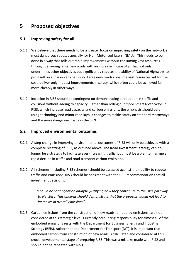## **5 Proposed objectives**

#### **5.1 Improving safety for all**

- 5.1.1 We believe that there needs to be a greater focus on improving safety on the network's most dangerous roads, especially for Non-Motorised Users (NMUs). This needs to be done in a way that rolls out rapid improvements without consuming vast resources through delivering large new roads with an increase in capacity. That not only undermines other objectives but significantly reduces the ability of National Highways to put itself on a Vision Zero pathway. Large new roads consume vast resources yet for the cost, deliver only modest improvements in safety, which often could be achieved far more cheaply in other ways.
- 5.1.2 Inclusion in RIS3 should be contingent on demonstrating a reduction in traffic and collisions without adding to capacity. Rather than rolling out more Smart Motorways in RIS3, which increase road capacity and carbon emissions, the emphasis should be on using technology and minor road layout changes to tackle safety on standard motorways and the more dangerous roads in the SRN.

#### **5.2 Improved environmental outcomes**

- 5.2.1 A step-change in improving environmental outcomes of RIS3 will only be achieved with a complete resetting of RIS3, as outlined above. The Road Investment Strategy can no longer be a strategy to facilitate ever-increasing traffic, but must be a plan to manage a rapid decline in traffic and road transport carbon emissions.
- 5.2.2 All schemes (including RIS2 schemes) should be assessed against their ability to reduce traffic and emissions. RIS3 should be consistent with the CCC recommendation that all investment decisions:

"*should be contingent on analysis justifying how they contribute to the UK's pathway to Net Zero. This analysis should demonstrate that the proposals would not lead to increases in overall emissions*".

5.2.3 Carbon emissions from the construction of new roads (embodied emissions) are not considered at this strategic level. Currently accounting responsibility for almost all of the embodied emissions rests with the Department for Business, Energy and Industrial Strategy (BEIS), rather than the Department for Transport (DfT). It is important that embodied carbon from construction of new roads is calculated and considered at this crucial developmental stage of preparing RIS3. This was a mistake made with RIS2 and should not be repeated with RIS3.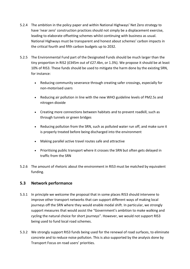- 5.2.4 The ambition in the policy paper and within National Highways' Net Zero strategy to have 'near zero' construction practices should not simply be a displacement exercise, leading to elaborate offsetting schemes whilst continuing with business as usual. National Highways must be transparent and honest about schemes' carbon impacts in the critical fourth and fifth carbon budgets up to 2032.
- 5.2.5 The Environmental Fund part of the Designated Funds should be much larger than the tiny proportion in RIS2 (£345m out of £27.4bn, or 1.3%). We propose it should be at least 10% of RIS3. These funds should be used to mitigate the harm done by the existing SRN, for instance:
	- Reducing community severance through creating safer crossings, especially for non-motorised users
	- Reducing air pollution in line with the new WHO guideline levels of PM2.5s and nitrogen dioxide
	- Creating more connections between habitats and to prevent roadkill, such as through tunnels or green bridges
	- Reducing pollution from the SRN, such as polluted water run off, and make sure it is properly treated before being discharged into the environment
	- Making parallel active travel routes safe and attractive
	- Prioritising public transport where it crosses the SRN but often gets delayed in traffic from the SRN
- 5.2.6 The amount of rhetoric about the environment in RIS3 must be matched by equivalent funding.

#### **5.3 Network performance**

- 5.3.1 In principle we welcome the proposal that in some places RIS3 should intervene to improve other transport networks that can support different ways of making local journeys off the SRN where they would enable modal shift. In particular, we strongly support measures that would assist the "Government's ambition to make walking and cycling the natural choice for short journeys". However, we would not support RIS3 being used to fund local road schemes.
- 5.3.2 We strongly support RIS3 funds being used for the renewal of road surfaces, to eliminate concrete and to reduce noise pollution. This is also supported by the analysis done by Transport Focus on road users' priorities.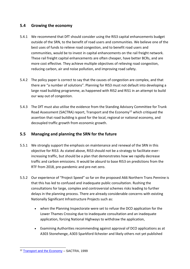#### **5.4 Growing the economy**

- 5.4.1 We recommend that DfT should consider using the RIS3 capital enhancements budget outside of the SRN, to the benefit of road users and communities. We believe one of the best uses of funds to relieve road congestion, and to benefit road users and communities, would be to invest in capital enhancements on the rail freight network. These rail freight capital enhancements are often cheaper, have better BCRs, and are more cost effective. They achieve multiple objectives of relieving road congestion, reducing carbon, air and noise pollution, and improving road safety.
- 5.4.2 The policy paper is correct to say that the causes of congestion are complex, and that there are "a number of solutions". Planning for RIS3 must not default into developing a large road building programme, as happened with RIS2 and RIS1 in an attempt to build our way out of congestion.
- 5.4.3 The DfT must also utilise the evidence from the Standing Advisory Committee for Trunk Road Assessment (SACTRA) report, Transport and the Economy<sup>12</sup> which critiqued the assertion that road building is good for the local, regional or national economy, and decoupled traffic growth from economic growth.

#### **5.5 Managing and planning the SRN for the future**

- 5.5.1 We strongly support the emphasis on maintenance and renewal of the SRN in this objective for RIS3. As stated above, RIS3 should not be a strategy to facilitate everincreasing traffic, but should be a plan that demonstrates how we rapidly decrease traffic and carbon emissions. It would be absurd to base RIS3 on predictions from the RTF from 2018, pre-pandemic and pre-net zero.
- 5.5.2 Our experience of "Project Speed" so far on the proposed A66 Northern Trans Pennine is that this has led to confused and inadequate public consultation. Rushing the consultations for large, complex and controversial schemes risks leading to further delays in the planning process. There are already considerable concerns with existing Nationally Significant Infrastructure Projects such as:
	- when the Planning Inspectorate were set to refuse the DCO application for the Lower Thames Crossing due to inadequate consultation and an inadequate application, forcing National Highways to withdraw the application,
	- Examining Authorities recommending against approval of DCO applications as at A303 Stonehenge, A303 Sparkford Ilchester and likely others not yet published

<sup>&</sup>lt;sup>12</sup> [Transport and the Economy](https://webarchive.nationalarchives.gov.uk/ukgwa/20050301192906/http:/dft.gov.uk/stellent/groups/dft_econappr/documents/pdf/dft_econappr_pdf_022512.pdf) - SACTRA, 1999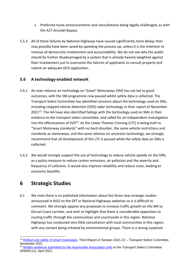- Preferred route announcements and consultations being legally challenged, as with the A27 Arundel Bypass.
- 5.5.3 All of these failures by National Highways have caused significantly more delays than may possibly have been saved by speeding the process up, unless it is the intention to remove all democratic involvement and accountability. We do not see why the public should be further disadvantaged by a system that is already heavily weighted against their involvement just to overcome the failures of applicants to consult properly and submit an adequate DCO application.

#### **5.6 A technology-enabled network**

- 5.6.1 An over reliance on technology on 'Smart' Motorways (SM) has not led to good outcomes, with the SM programme now paused whilst safety data is collected. The Transport Select Committee has identified concerns about the technology used on SMs, including stopped vehicle detection (SVD) radar technology in their report of November 2021<sup>13</sup>. The AA have also identified failings with the technology used on SMs in their evidence to the transport select committee, and called for an independent investigation into the effectiveness of  $SVD^{14}$ . As the Lower Thames Crossing (LTC) is being built to "Smart Motorway standards" with no hard shoulder, the same vehicle restrictions and standards as motorways, and the same reliance on uncertain technology, we strongly recommend that all development of the LTC is paused while the safety data on SMs is collected.
- 5.6.2 We would strongly support the use of technology to reduce vehicle speeds on the SRN, as a policy measure to reduce carbon emissions, air pollution and the severity and frequency of collisions. It would also improve reliability and reduce costs, leading to economic benefits.

# **6 Strategic Studies**

6.1 We note there is no published information about the three new strategic studies announced in RIS2 on the DfT or National Highways websites so it is difficult to comment. We strongly oppose any proposals to increase traffic growth on the M4 to Dorset Coast corridor, and wish to highlight that there is considerable opposition to routing traffic through the communities and countryside in this region. National Highways has conducted very little consultation with local communities in this region, with any contact being initiated by environmental groups. There is a strong suspicion

<sup>14</sup> Written evidence [submitted by the Automobile Association \(AA\)](https://committees.parliament.uk/writtenevidence/25885/html/) to the Transport Select Committee (RSM0111), April 2021

<sup>&</sup>lt;sup>13</sup> [Rollout and safety of smart motorways,](https://publications.parliament.uk/pa/cm5802/cmselect/cmtrans/26/report.html) Third Report of Session 2021-22 - Transport Select Committee, November 2021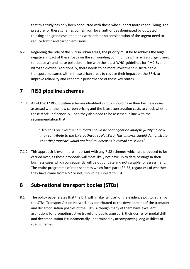that this study has only been conducted with those who support more roadbuilding. The pressure for these schemes comes from local authorities dominated by outdated thinking and grandiose ambitions with little or no consideration of the urgent need to reduce traffic and carbon emissions.

6.2 Regarding the role of the SRN in urban areas, the priority must be to address the huge negative impact of these roads on the surrounding communities. There is an urgent need to reduce air and noise pollution in line with the latest WHO guidelines for PM2.5s and nitrogen dioxide. Additionally, there needs to be more investment in sustainable transport measures within these urban areas to reduce their impact on the SRN, to improve reliability and economic performance of these key routes.

# **7 RIS3 pipeline schemes**

7.1.1 All of the 32 RIS3 pipeline schemes identified in RIS2 should have their business cases assessed with the new carbon pricing and the latest construction costs to check whether these stack up financially. Then they also need to be assessed in line with the CCC recommendation that:

> "*Decisions on investment in roads should be contingent on analysis justifying how they contribute to the UK's pathway to Net Zero. This analysis should demonstrate that the proposals would not lead to increases in overall emissions*."

7.1.2 This approach is even more important with any RIS2 schemes which are proposed to be carried over, as these proposals will most likely not have up to date costings in their business cases which consequently will be out of date and not suitable for assessment. The entire programme of road schemes which form part of RIS3, regardless of whether they have come from RIS2 or not, should be subject to SEA.

## **8 Sub-national transport bodies (STBs)**

8.1 The policy paper states that the DfT will "make full use" of the evidence put together by the STBs. Transport Action Network has contributed to the development of the transport and decarbonisation policies of the STBs. Although many of them have excellent aspirations for promoting active travel and public transport, their desire for modal shift and decarbonisation is fundamentally undermined by accompanying long wishlists of road schemes.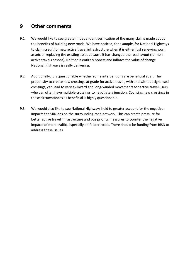## **9 Other comments**

- 9.1 We would like to see greater independent verification of the many claims made about the benefits of building new roads. We have noticed, for example, for National Highways to claim credit for new active travel infrastructure when it is either just renewing worn assets or replacing the existing asset because it has changed the road layout (for nonactive travel reasons). Neither is entirely honest and inflates the value of change National Highways is really delivering.
- 9.2 Additionally, it is questionable whether some interventions are beneficial at all. The propensity to create new crossings at grade for active travel, with and without signalised crossings, can lead to very awkward and long-winded movements for active travel users, who can often have multiple crossings to negotiate a junction. Counting new crossings in these circumstances as beneficial is highly questionable.
- 9.3 We would also like to see National Highways held to greater account for the negative impacts the SRN has on the surrounding road network. This can create pressure for better active travel infrastructure and bus priority measures to counter the negative impacts of more traffic, especially on feeder roads. There should be funding from RIS3 to address these issues.